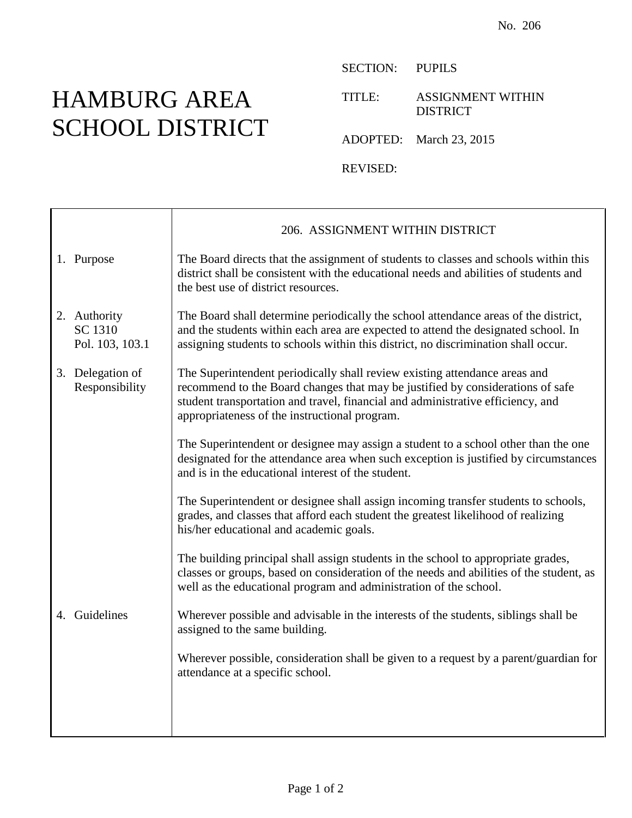## HAMBURG AREA SCHOOL DISTRICT

┱

 $\mathsf{r}$ 

SECTION: PUPILS

TITLE: ASSIGNMENT WITHIN DISTRICT

ADOPTED: March 23, 2015

REVISED:

|  |                                            | 206. ASSIGNMENT WITHIN DISTRICT                                                                                                                                                                                                                                                                  |
|--|--------------------------------------------|--------------------------------------------------------------------------------------------------------------------------------------------------------------------------------------------------------------------------------------------------------------------------------------------------|
|  | 1. Purpose                                 | The Board directs that the assignment of students to classes and schools within this<br>district shall be consistent with the educational needs and abilities of students and<br>the best use of district resources.                                                                             |
|  | 2. Authority<br>SC 1310<br>Pol. 103, 103.1 | The Board shall determine periodically the school attendance areas of the district,<br>and the students within each area are expected to attend the designated school. In<br>assigning students to schools within this district, no discrimination shall occur.                                  |
|  | 3. Delegation of<br>Responsibility         | The Superintendent periodically shall review existing attendance areas and<br>recommend to the Board changes that may be justified by considerations of safe<br>student transportation and travel, financial and administrative efficiency, and<br>appropriateness of the instructional program. |
|  |                                            | The Superintendent or designee may assign a student to a school other than the one<br>designated for the attendance area when such exception is justified by circumstances<br>and is in the educational interest of the student.                                                                 |
|  |                                            | The Superintendent or designee shall assign incoming transfer students to schools,<br>grades, and classes that afford each student the greatest likelihood of realizing<br>his/her educational and academic goals.                                                                               |
|  |                                            | The building principal shall assign students in the school to appropriate grades,<br>classes or groups, based on consideration of the needs and abilities of the student, as<br>well as the educational program and administration of the school.                                                |
|  | 4. Guidelines                              | Wherever possible and advisable in the interests of the students, siblings shall be<br>assigned to the same building.                                                                                                                                                                            |
|  |                                            | Wherever possible, consideration shall be given to a request by a parent/guardian for<br>attendance at a specific school.                                                                                                                                                                        |
|  |                                            |                                                                                                                                                                                                                                                                                                  |
|  |                                            |                                                                                                                                                                                                                                                                                                  |